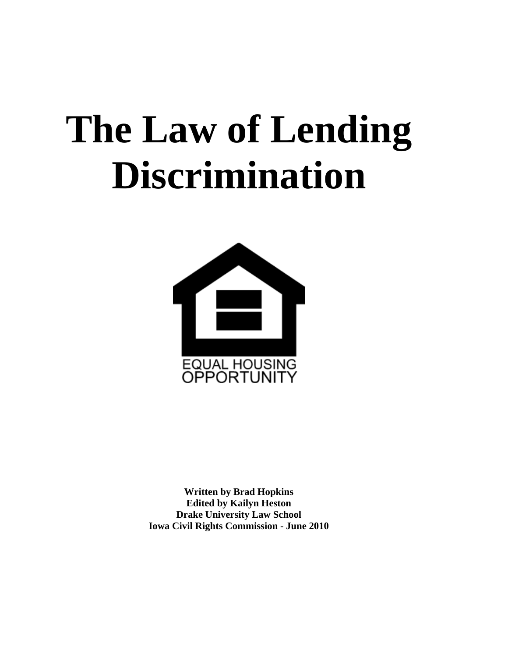# **The Law of Lending Discrimination**



**Written by Brad Hopkins Edited by Kailyn Heston Drake University Law School Iowa Civil Rights Commission** - **June 2010**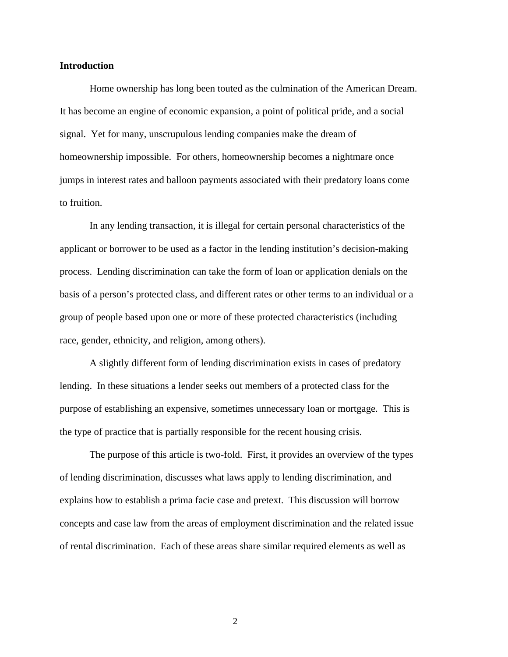## **Introduction**

Home ownership has long been touted as the culmination of the American Dream. It has become an engine of economic expansion, a point of political pride, and a social signal. Yet for many, unscrupulous lending companies make the dream of homeownership impossible. For others, homeownership becomes a nightmare once jumps in interest rates and balloon payments associated with their predatory loans come to fruition.

In any lending transaction, it is illegal for certain personal characteristics of the applicant or borrower to be used as a factor in the lending institution's decision-making process. Lending discrimination can take the form of loan or application denials on the basis of a person's protected class, and different rates or other terms to an individual or a group of people based upon one or more of these protected characteristics (including race, gender, ethnicity, and religion, among others).

A slightly different form of lending discrimination exists in cases of predatory lending. In these situations a lender seeks out members of a protected class for the purpose of establishing an expensive, sometimes unnecessary loan or mortgage. This is the type of practice that is partially responsible for the recent housing crisis.

The purpose of this article is two-fold. First, it provides an overview of the types of lending discrimination, discusses what laws apply to lending discrimination, and explains how to establish a prima facie case and pretext. This discussion will borrow concepts and case law from the areas of employment discrimination and the related issue of rental discrimination. Each of these areas share similar required elements as well as

2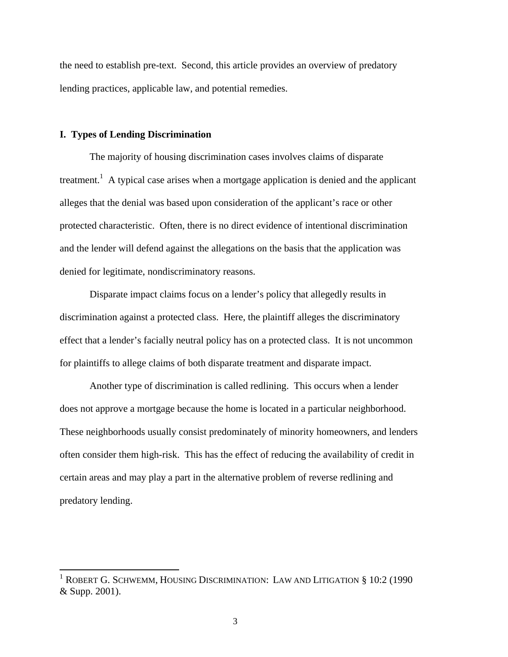the need to establish pre-text. Second, this article provides an overview of predatory lending practices, applicable law, and potential remedies.

#### **I. Types of Lending Discrimination**

 $\overline{a}$ 

The majority of housing discrimination cases involves claims of disparate treatment.<sup>1</sup> A typical case arises when a mortgage application is denied and the applicant alleges that the denial was based upon consideration of the applicant's race or other protected characteristic. Often, there is no direct evidence of intentional discrimination and the lender will defend against the allegations on the basis that the application was denied for legitimate, nondiscriminatory reasons.

Disparate impact claims focus on a lender's policy that allegedly results in discrimination against a protected class. Here, the plaintiff alleges the discriminatory effect that a lender's facially neutral policy has on a protected class. It is not uncommon for plaintiffs to allege claims of both disparate treatment and disparate impact.

Another type of discrimination is called redlining. This occurs when a lender does not approve a mortgage because the home is located in a particular neighborhood. These neighborhoods usually consist predominately of minority homeowners, and lenders often consider them high-risk. This has the effect of reducing the availability of credit in certain areas and may play a part in the alternative problem of reverse redlining and predatory lending.

<sup>&</sup>lt;sup>1</sup> ROBERT G. SCHWEMM, HOUSING DISCRIMINATION: LAW AND LITIGATION § 10:2 (1990 & Supp. 2001).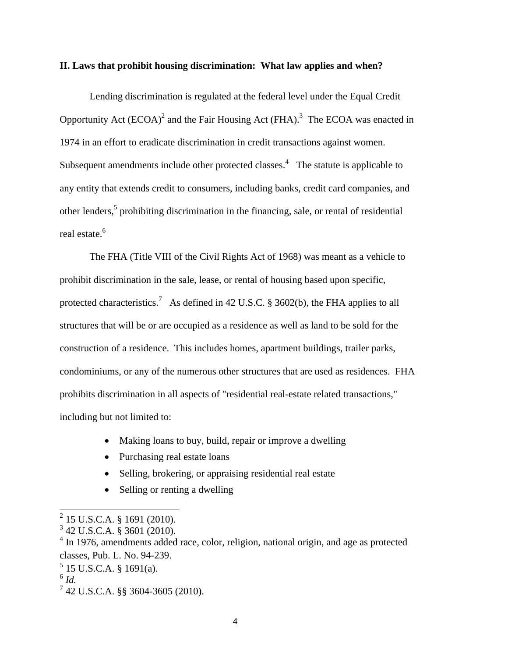## **II. Laws that prohibit housing discrimination: What law applies and when?**

Lending discrimination is regulated at the federal level under the Equal Credit Opportunity Act  $(ECOA)^2$  and the Fair Housing Act  $(FHA)$ .<sup>3</sup> The ECOA was enacted in 1974 in an effort to eradicate discrimination in credit transactions against women. Subsequent amendments include other protected classes.<sup>4</sup> The statute is applicable to any entity that extends credit to consumers, including banks, credit card companies, and other lenders,<sup>5</sup> prohibiting discrimination in the financing, sale, or rental of residential real estate.<sup>6</sup>

The FHA (Title VIII of the Civil Rights Act of 1968) was meant as a vehicle to prohibit discrimination in the sale, lease, or rental of housing based upon specific, protected characteristics.<sup>7</sup> As defined in 42 U.S.C. § 3602(b), the FHA applies to all structures that will be or are occupied as a residence as well as land to be sold for the construction of a residence. This includes homes, apartment buildings, trailer parks, condominiums, or any of the numerous other structures that are used as residences. FHA prohibits discrimination in all aspects of "residential real-estate related transactions," including but not limited to:

- Making loans to buy, build, repair or improve a dwelling
- Purchasing real estate loans
- Selling, brokering, or appraising residential real estate
- Selling or renting a dwelling

<sup>2</sup> 15 U.S.C.A. § 1691 (2010).

<sup>3</sup> 42 U.S.C.A. § 3601 (2010).

<sup>&</sup>lt;sup>4</sup> In 1976, amendments added race, color, religion, national origin, and age as protected classes, Pub. L. No. 94-239.

 $5$  15 U.S.C.A. § 1691(a).

 $^6$  *Id.* 

<sup>7</sup> 42 U.S.C.A. §§ 3604-3605 (2010).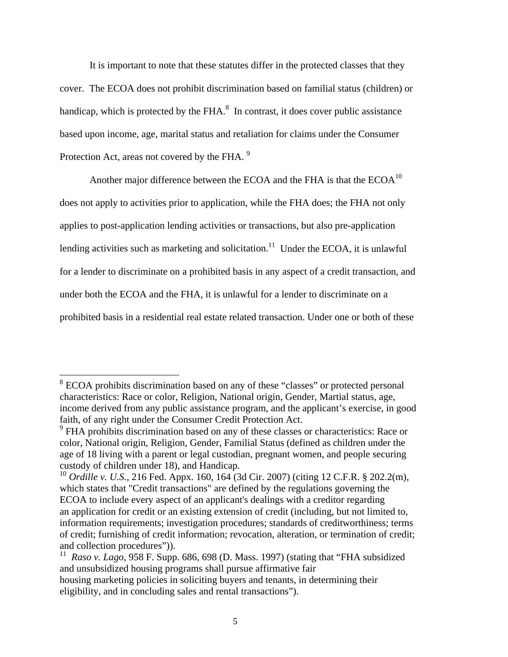It is important to note that these statutes differ in the protected classes that they cover. The ECOA does not prohibit discrimination based on familial status (children) or handicap, which is protected by the FHA. $<sup>8</sup>$  In contrast, it does cover public assistance</sup> based upon income, age, marital status and retaliation for claims under the Consumer Protection Act, areas not covered by the FHA. <sup>9</sup>

Another major difference between the ECOA and the FHA is that the  $ECOA<sup>10</sup>$ does not apply to activities prior to application, while the FHA does; the FHA not only applies to post-application lending activities or transactions, but also pre-application lending activities such as marketing and solicitation.<sup>11</sup> Under the ECOA, it is unlawful for a lender to discriminate on a prohibited basis in any aspect of a credit transaction, and under both the ECOA and the FHA, it is unlawful for a lender to discriminate on a prohibited basis in a residential real estate related transaction. Under one or both of these

<sup>&</sup>lt;sup>8</sup> ECOA prohibits discrimination based on any of these "classes" or protected personal characteristics: Race or color, Religion, National origin, Gender, Martial status, age, income derived from any public assistance program, and the applicant's exercise, in good faith, of any right under the Consumer Credit Protection Act.

 $9$  FHA prohibits discrimination based on any of these classes or characteristics: Race or color, National origin, Religion, Gender, Familial Status (defined as children under the age of 18 living with a parent or legal custodian, pregnant women, and people securing custody of children under 18), and Handicap.

<sup>10</sup> *Ordille v. U.S.,* 216 Fed. Appx. 160, 164 (3d Cir. 2007) (citing 12 C.F.R. § 202.2(m), which states that "Credit transactions" are defined by the regulations governing the ECOA to include every aspect of an applicant's dealings with a creditor regarding an application for credit or an existing extension of credit (including, but not limited to, information requirements; investigation procedures; standards of creditworthiness; terms of credit; furnishing of credit information; revocation, alteration, or termination of credit; and collection procedures")).

<sup>&</sup>lt;sup>11</sup> *Raso v. Lago,* 958 F. Supp. 686, 698 (D. Mass. 1997) (stating that "FHA subsidized and unsubsidized housing programs shall pursue affirmative fair housing marketing policies in soliciting buyers and tenants, in determining their eligibility, and in concluding sales and rental transactions").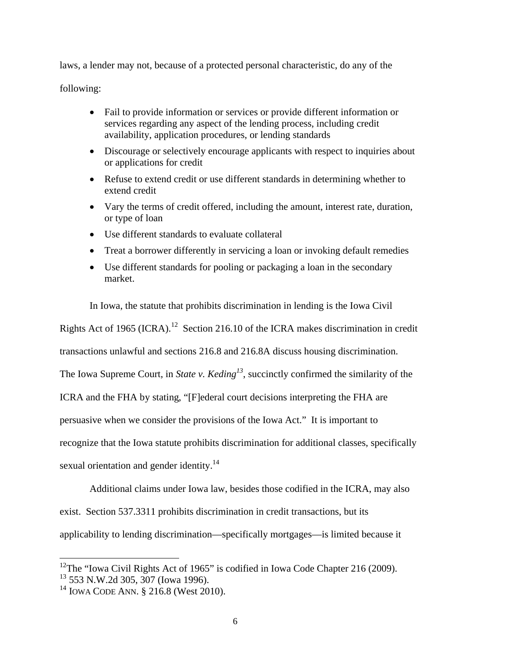laws, a lender may not, because of a protected personal characteristic, do any of the

following:

- Fail to provide information or services or provide different information or services regarding any aspect of the lending process, including credit availability, application procedures, or lending standards
- Discourage or selectively encourage applicants with respect to inquiries about or applications for credit
- Refuse to extend credit or use different standards in determining whether to extend credit
- Vary the terms of credit offered, including the amount, interest rate, duration, or type of loan
- Use different standards to evaluate collateral
- Treat a borrower differently in servicing a loan or invoking default remedies
- Use different standards for pooling or packaging a loan in the secondary market.

In Iowa, the statute that prohibits discrimination in lending is the Iowa Civil

Rights Act of 1965 (ICRA).<sup>12</sup> Section 216.10 of the ICRA makes discrimination in credit

transactions unlawful and sections 216.8 and 216.8A discuss housing discrimination.

The Iowa Supreme Court, in *State v. Keding*<sup>13</sup>, succinctly confirmed the similarity of the

ICRA and the FHA by stating, "[F]ederal court decisions interpreting the FHA are

persuasive when we consider the provisions of the Iowa Act." It is important to

recognize that the Iowa statute prohibits discrimination for additional classes, specifically

sexual orientation and gender identity.<sup>14</sup>

Additional claims under Iowa law, besides those codified in the ICRA, may also exist. Section 537.3311 prohibits discrimination in credit transactions, but its applicability to lending discrimination—specifically mortgages—is limited because it

<sup>&</sup>lt;sup>12</sup>The "Iowa Civil Rights Act of 1965" is codified in Iowa Code Chapter 216 (2009).

<sup>13</sup> 553 N.W.2d 305, 307 (Iowa 1996).

<sup>&</sup>lt;sup>14</sup> IOWA CODE ANN. § 216.8 (West 2010).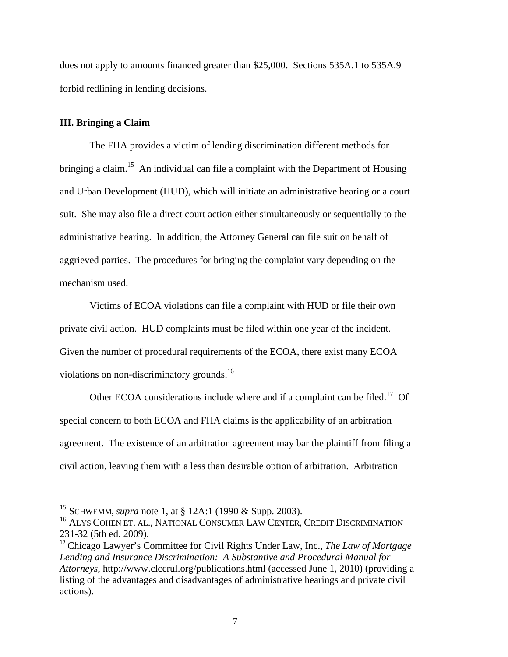does not apply to amounts financed greater than \$25,000. Sections 535A.1 to 535A.9 forbid redlining in lending decisions.

# **III. Bringing a Claim**

 $\overline{a}$ 

The FHA provides a victim of lending discrimination different methods for bringing a claim.<sup>15</sup> An individual can file a complaint with the Department of Housing and Urban Development (HUD), which will initiate an administrative hearing or a court suit. She may also file a direct court action either simultaneously or sequentially to the administrative hearing. In addition, the Attorney General can file suit on behalf of aggrieved parties. The procedures for bringing the complaint vary depending on the mechanism used.

Victims of ECOA violations can file a complaint with HUD or file their own private civil action. HUD complaints must be filed within one year of the incident. Given the number of procedural requirements of the ECOA, there exist many ECOA violations on non-discriminatory grounds.<sup>16</sup>

Other ECOA considerations include where and if a complaint can be filed.<sup>17</sup> Of special concern to both ECOA and FHA claims is the applicability of an arbitration agreement. The existence of an arbitration agreement may bar the plaintiff from filing a civil action, leaving them with a less than desirable option of arbitration. Arbitration

<sup>15</sup> SCHWEMM, *supra* note 1, at § 12A:1 (1990 & Supp. 2003).

<sup>&</sup>lt;sup>16</sup> ALYS COHEN ET. AL., NATIONAL CONSUMER LAW CENTER, CREDIT DISCRIMINATION 231-32 (5th ed. 2009).

<sup>17</sup> Chicago Lawyer's Committee for Civil Rights Under Law, Inc., *The Law of Mortgage Lending and Insurance Discrimination: A Substantive and Procedural Manual for Attorneys*, http://www.clccrul.org/publications.html (accessed June 1, 2010) (providing a listing of the advantages and disadvantages of administrative hearings and private civil actions).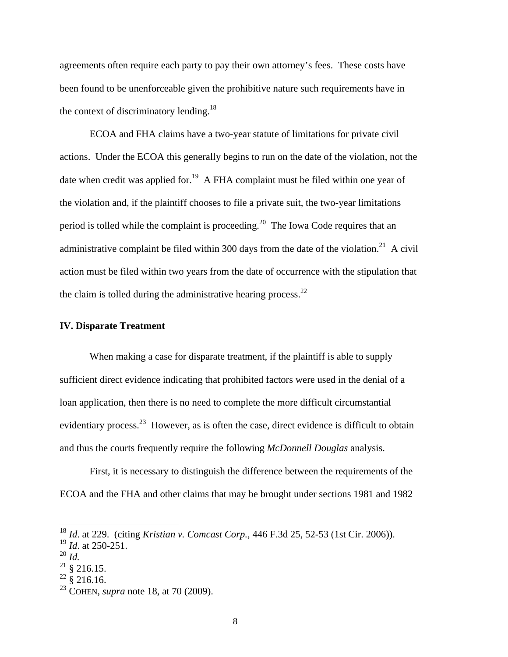agreements often require each party to pay their own attorney's fees. These costs have been found to be unenforceable given the prohibitive nature such requirements have in the context of discriminatory lending.<sup>18</sup>

ECOA and FHA claims have a two-year statute of limitations for private civil actions. Under the ECOA this generally begins to run on the date of the violation, not the date when credit was applied for.<sup>19</sup> A FHA complaint must be filed within one year of the violation and, if the plaintiff chooses to file a private suit, the two-year limitations period is tolled while the complaint is proceeding.<sup>20</sup> The Iowa Code requires that an administrative complaint be filed within 300 days from the date of the violation.<sup>21</sup> A civil action must be filed within two years from the date of occurrence with the stipulation that the claim is tolled during the administrative hearing process. $^{22}$ 

## **IV. Disparate Treatment**

When making a case for disparate treatment, if the plaintiff is able to supply sufficient direct evidence indicating that prohibited factors were used in the denial of a loan application, then there is no need to complete the more difficult circumstantial evidentiary process.<sup>23</sup> However, as is often the case, direct evidence is difficult to obtain and thus the courts frequently require the following *McDonnell Douglas* analysis.

First, it is necessary to distinguish the difference between the requirements of the ECOA and the FHA and other claims that may be brought under sections 1981 and 1982

l

 $^{22}$  § 216.16.

<sup>18</sup> *Id*. at 229. (citing *Kristian v. Comcast Corp.,* 446 F.3d 25, 52-53 (1st Cir. 2006)).

<sup>19</sup> *Id*. at 250-251.

<sup>20</sup> *Id.* 

 $^{21}$  § 216.15.

<sup>23</sup> COHEN, *supra* note 18, at 70 (2009).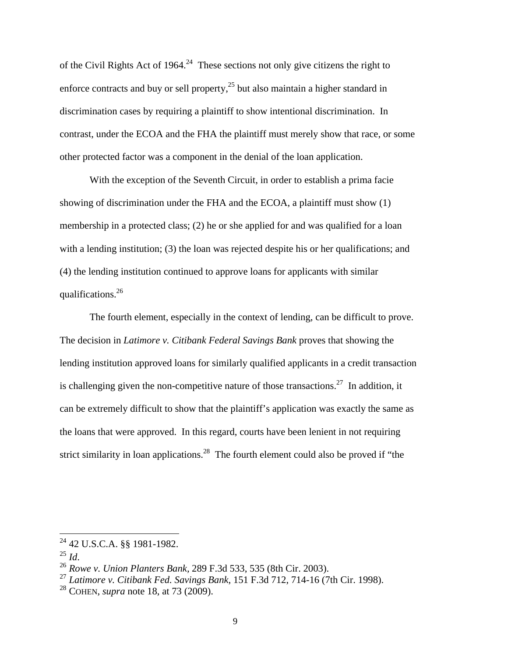of the Civil Rights Act of 1964.<sup>24</sup> These sections not only give citizens the right to enforce contracts and buy or sell property, $^{25}$  but also maintain a higher standard in discrimination cases by requiring a plaintiff to show intentional discrimination. In contrast, under the ECOA and the FHA the plaintiff must merely show that race, or some other protected factor was a component in the denial of the loan application.

With the exception of the Seventh Circuit, in order to establish a prima facie showing of discrimination under the FHA and the ECOA, a plaintiff must show (1) membership in a protected class; (2) he or she applied for and was qualified for a loan with a lending institution; (3) the loan was rejected despite his or her qualifications; and (4) the lending institution continued to approve loans for applicants with similar qualifications.26

The fourth element, especially in the context of lending, can be difficult to prove. The decision in *Latimore v. Citibank Federal Savings Bank* proves that showing the lending institution approved loans for similarly qualified applicants in a credit transaction is challenging given the non-competitive nature of those transactions.<sup>27</sup> In addition, it can be extremely difficult to show that the plaintiff's application was exactly the same as the loans that were approved. In this regard, courts have been lenient in not requiring strict similarity in loan applications.<sup>28</sup> The fourth element could also be proved if "the

 $^{24}$  42 U.S.C.A. §§ 1981-1982.

<sup>25</sup> *Id*. 26 *Rowe v. Union Planters Bank,* 289 F.3d 533, 535 (8th Cir. 2003).

<sup>27</sup> *Latimore v. Citibank Fed. Savings Bank*, 151 F.3d 712, 714-16 (7th Cir. 1998).

<sup>28</sup> COHEN, *supra* note 18, at 73 (2009).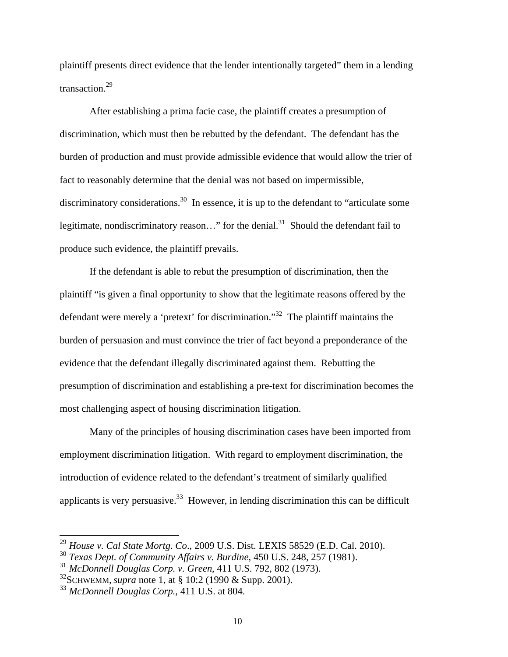plaintiff presents direct evidence that the lender intentionally targeted" them in a lending transaction.<sup>29</sup>

After establishing a prima facie case, the plaintiff creates a presumption of discrimination, which must then be rebutted by the defendant. The defendant has the burden of production and must provide admissible evidence that would allow the trier of fact to reasonably determine that the denial was not based on impermissible, discriminatory considerations.<sup>30</sup> In essence, it is up to the defendant to "articulate some legitimate, nondiscriminatory reason..." for the denial.<sup>31</sup> Should the defendant fail to produce such evidence, the plaintiff prevails.

If the defendant is able to rebut the presumption of discrimination, then the plaintiff "is given a final opportunity to show that the legitimate reasons offered by the defendant were merely a 'pretext' for discrimination."32 The plaintiff maintains the burden of persuasion and must convince the trier of fact beyond a preponderance of the evidence that the defendant illegally discriminated against them. Rebutting the presumption of discrimination and establishing a pre-text for discrimination becomes the most challenging aspect of housing discrimination litigation.

Many of the principles of housing discrimination cases have been imported from employment discrimination litigation. With regard to employment discrimination, the introduction of evidence related to the defendant's treatment of similarly qualified applicants is very persuasive.<sup>33</sup> However, in lending discrimination this can be difficult

l

<sup>29</sup> *House v. Cal State Mortg*. *Co*., 2009 U.S. Dist. LEXIS 58529 (E.D. Cal. 2010).

<sup>30</sup> *Texas Dept. of Community Affairs v. Burdine*, 450 U.S. 248, 257 (1981).

<sup>31</sup> *McDonnell Douglas Corp. v. Green*, 411 U.S. 792, 802 (1973).

<sup>32</sup>SCHWEMM, *supra* note 1, at § 10:2 (1990 & Supp. 2001).

<sup>33</sup> *McDonnell Douglas Corp.*, 411 U.S. at 804.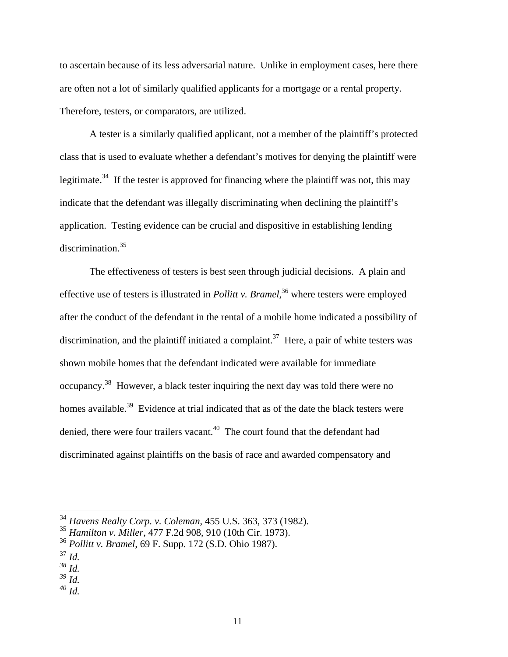to ascertain because of its less adversarial nature. Unlike in employment cases, here there are often not a lot of similarly qualified applicants for a mortgage or a rental property. Therefore, testers, or comparators, are utilized.

A tester is a similarly qualified applicant, not a member of the plaintiff's protected class that is used to evaluate whether a defendant's motives for denying the plaintiff were legitimate.<sup>34</sup> If the tester is approved for financing where the plaintiff was not, this may indicate that the defendant was illegally discriminating when declining the plaintiff's application. Testing evidence can be crucial and dispositive in establishing lending discrimination.35

The effectiveness of testers is best seen through judicial decisions. A plain and effective use of testers is illustrated in *Pollitt v. Bramel*, <sup>36</sup> where testers were employed after the conduct of the defendant in the rental of a mobile home indicated a possibility of discrimination, and the plaintiff initiated a complaint.<sup>37</sup> Here, a pair of white testers was shown mobile homes that the defendant indicated were available for immediate occupancy.38 However, a black tester inquiring the next day was told there were no homes available.<sup>39</sup> Evidence at trial indicated that as of the date the black testers were denied, there were four trailers vacant.<sup>40</sup> The court found that the defendant had discriminated against plaintiffs on the basis of race and awarded compensatory and

 $^{37}$  *Id.* 

l

- $\frac{39}{1}$   $\frac{1}{4}$
- *<sup>40</sup> Id.*

<sup>34</sup> *Havens Realty Corp. v. Coleman*, 455 U.S. 363, 373 (1982).

<sup>35</sup> *Hamilton v. Miller*, 477 F.2d 908, 910 (10th Cir. 1973).

<sup>36</sup> *Pollitt v. Bramel,* 69 F. Supp. 172 (S.D. Ohio 1987).

*<sup>38</sup> Id.*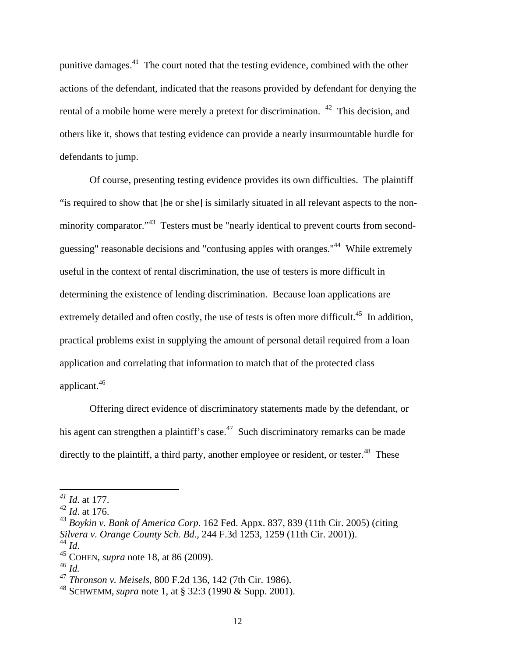punitive damages.41 The court noted that the testing evidence, combined with the other actions of the defendant, indicated that the reasons provided by defendant for denying the rental of a mobile home were merely a pretext for discrimination. <sup>42</sup> This decision, and others like it, shows that testing evidence can provide a nearly insurmountable hurdle for defendants to jump.

Of course, presenting testing evidence provides its own difficulties. The plaintiff "is required to show that [he or she] is similarly situated in all relevant aspects to the nonminority comparator."<sup>43</sup> Testers must be "nearly identical to prevent courts from secondguessing" reasonable decisions and "confusing apples with oranges."44 While extremely useful in the context of rental discrimination, the use of testers is more difficult in determining the existence of lending discrimination. Because loan applications are extremely detailed and often costly, the use of tests is often more difficult.<sup>45</sup> In addition, practical problems exist in supplying the amount of personal detail required from a loan application and correlating that information to match that of the protected class applicant.46

Offering direct evidence of discriminatory statements made by the defendant, or his agent can strengthen a plaintiff's case.<sup>47</sup> Such discriminatory remarks can be made directly to the plaintiff, a third party, another employee or resident, or tester.<sup>48</sup> These

*<sup>41</sup> Id*. at 177.

<sup>42</sup> *Id*. at 176.

<sup>43</sup> *Boykin v. Bank of America Corp*. 162 Fed. Appx. 837, 839 (11th Cir. 2005) (citing *Silvera v. Orange County Sch. Bd.,* 244 F.3d 1253, 1259 (11th Cir. 2001)).

<sup>44</sup> *Id*. 45 COHEN, *supra* note 18, at 86 (2009).

<sup>46</sup> *Id.*

<sup>47</sup> *Thronson v. Meisels*, 800 F.2d 136, 142 (7th Cir. 1986).

<sup>48</sup> SCHWEMM, *supra* note 1, at § 32:3 (1990 & Supp. 2001).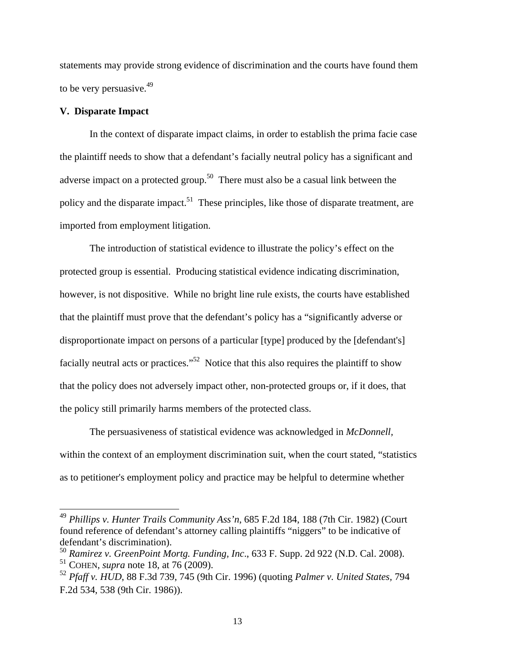statements may provide strong evidence of discrimination and the courts have found them to be very persuasive.<sup>49</sup>

## **V. Disparate Impact**

 $\overline{a}$ 

In the context of disparate impact claims, in order to establish the prima facie case the plaintiff needs to show that a defendant's facially neutral policy has a significant and adverse impact on a protected group.<sup>50</sup> There must also be a casual link between the policy and the disparate impact.<sup>51</sup> These principles, like those of disparate treatment, are imported from employment litigation.

The introduction of statistical evidence to illustrate the policy's effect on the protected group is essential. Producing statistical evidence indicating discrimination, however, is not dispositive. While no bright line rule exists, the courts have established that the plaintiff must prove that the defendant's policy has a "significantly adverse or disproportionate impact on persons of a particular [type] produced by the [defendant's] facially neutral acts or practices."<sup>52</sup> Notice that this also requires the plaintiff to show that the policy does not adversely impact other, non-protected groups or, if it does, that the policy still primarily harms members of the protected class.

The persuasiveness of statistical evidence was acknowledged in *McDonnell,*  within the context of an employment discrimination suit, when the court stated, "statistics as to petitioner's employment policy and practice may be helpful to determine whether

<sup>49</sup> *Phillips v. Hunter Trails Community Ass'n*, 685 F.2d 184, 188 (7th Cir. 1982) (Court found reference of defendant's attorney calling plaintiffs "niggers" to be indicative of defendant's discrimination).

<sup>50</sup> *Ramirez v. GreenPoint Mortg. Funding, Inc*., 633 F. Supp. 2d 922 (N.D. Cal. 2008). <sup>51</sup> COHEN, *supra* note 18, at 76 (2009).

<sup>52</sup> *Pfaff v. HUD*, 88 F.3d 739, 745 (9th Cir. 1996) (quoting *Palmer v. United States,* 794 F.2d 534, 538 (9th Cir. 1986)).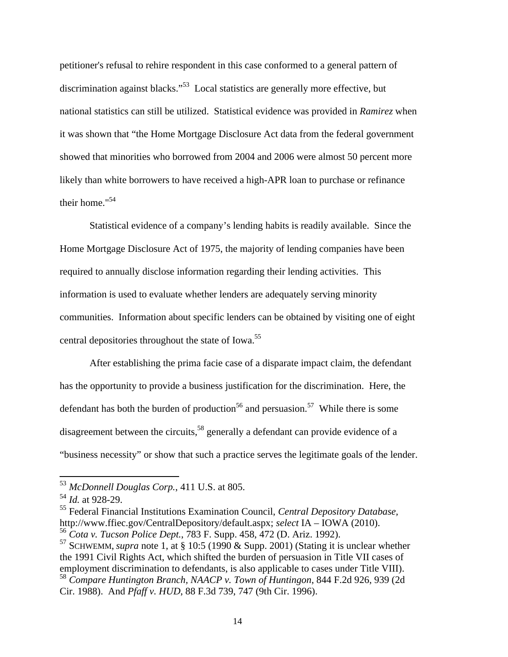petitioner's refusal to rehire respondent in this case conformed to a general pattern of discrimination against blacks."53 Local statistics are generally more effective, but national statistics can still be utilized. Statistical evidence was provided in *Ramirez* when it was shown that "the Home Mortgage Disclosure Act data from the federal government showed that minorities who borrowed from 2004 and 2006 were almost 50 percent more likely than white borrowers to have received a high-APR loan to purchase or refinance their home."54

Statistical evidence of a company's lending habits is readily available. Since the Home Mortgage Disclosure Act of 1975, the majority of lending companies have been required to annually disclose information regarding their lending activities. This information is used to evaluate whether lenders are adequately serving minority communities. Information about specific lenders can be obtained by visiting one of eight central depositories throughout the state of Iowa.<sup>55</sup>

After establishing the prima facie case of a disparate impact claim, the defendant has the opportunity to provide a business justification for the discrimination. Here, the defendant has both the burden of production<sup>56</sup> and persuasion.<sup>57</sup> While there is some disagreement between the circuits,<sup>58</sup> generally a defendant can provide evidence of a "business necessity" or show that such a practice serves the legitimate goals of the lender.

 $\overline{a}$ 

<sup>55</sup> Federal Financial Institutions Examination Council, *Central Depository Database,* http://www.ffiec.gov/CentralDepository/default.aspx; *select* IA – IOWA (2010).

<sup>53</sup> *McDonnell Douglas Corp.*, 411 U.S. at 805.

<sup>54</sup> *Id.* at 928-29.

<sup>56</sup> *Cota v. Tucson Police Dept.*, 783 F. Supp. 458, 472 (D. Ariz. 1992).

<sup>57</sup> SCHWEMM, *supra* note 1, at § 10:5 (1990 & Supp. 2001) (Stating it is unclear whether the 1991 Civil Rights Act, which shifted the burden of persuasion in Title VII cases of employment discrimination to defendants, is also applicable to cases under Title VIII). <sup>58</sup> *Compare Huntington Branch, NAACP v. Town of Huntingon*, 844 F.2d 926, 939 (2d

Cir. 1988). And *Pfaff v. HUD*, 88 F.3d 739, 747 (9th Cir. 1996).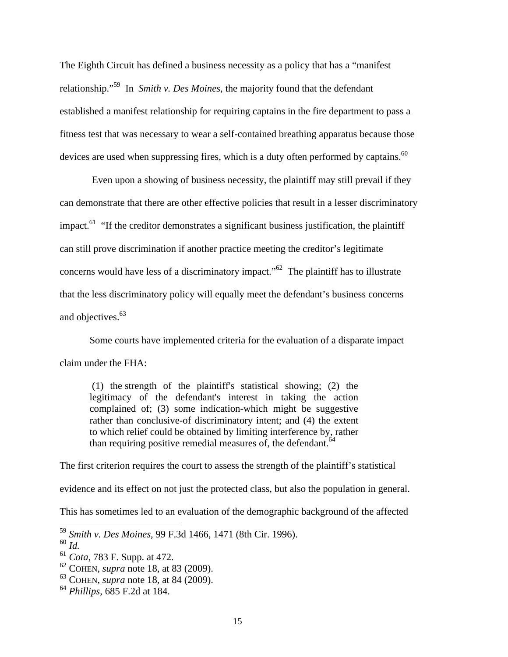The Eighth Circuit has defined a business necessity as a policy that has a "manifest relationship."59 In *Smith v. Des Moines*, the majority found that the defendant established a manifest relationship for requiring captains in the fire department to pass a fitness test that was necessary to wear a self-contained breathing apparatus because those devices are used when suppressing fires, which is a duty often performed by captains.  $60$ 

Even upon a showing of business necessity, the plaintiff may still prevail if they can demonstrate that there are other effective policies that result in a lesser discriminatory impact.<sup>61</sup> "If the creditor demonstrates a significant business justification, the plaintiff can still prove discrimination if another practice meeting the creditor's legitimate concerns would have less of a discriminatory impact."<sup>62</sup> The plaintiff has to illustrate that the less discriminatory policy will equally meet the defendant's business concerns and objectives.<sup>63</sup>

Some courts have implemented criteria for the evaluation of a disparate impact claim under the FHA:

(1) the strength of the plaintiff's statistical showing; (2) the legitimacy of the defendant's interest in taking the action complained of; (3) some indication-which might be suggestive rather than conclusive-of discriminatory intent; and (4) the extent to which relief could be obtained by limiting interference by, rather than requiring positive remedial measures of, the defendant.<sup>64</sup>

The first criterion requires the court to assess the strength of the plaintiff's statistical

evidence and its effect on not just the protected class, but also the population in general.

This has sometimes led to an evaluation of the demographic background of the affected

l

<sup>59</sup> *Smith v. Des Moines*, 99 F.3d 1466, 1471 (8th Cir. 1996).

<sup>60</sup> *Id.*<sup>61</sup> *Cota*, 783 F. Supp. at 472.

<sup>62</sup> COHEN, *supra* note 18, at 83 (2009).

<sup>63</sup> COHEN, *supra* note 18, at 84 (2009).

<sup>64</sup> *Phillips*, 685 F.2d at 184.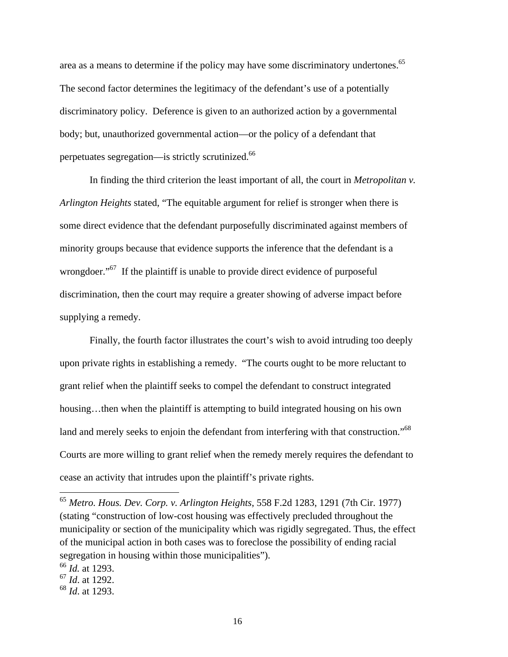area as a means to determine if the policy may have some discriminatory undertones.<sup>65</sup> The second factor determines the legitimacy of the defendant's use of a potentially discriminatory policy. Deference is given to an authorized action by a governmental body; but, unauthorized governmental action—or the policy of a defendant that perpetuates segregation—is strictly scrutinized.66

In finding the third criterion the least important of all, the court in *Metropolitan v. Arlington Heights* stated, "The equitable argument for relief is stronger when there is some direct evidence that the defendant purposefully discriminated against members of minority groups because that evidence supports the inference that the defendant is a wrongdoer."<sup>67</sup> If the plaintiff is unable to provide direct evidence of purposeful discrimination, then the court may require a greater showing of adverse impact before supplying a remedy.

Finally, the fourth factor illustrates the court's wish to avoid intruding too deeply upon private rights in establishing a remedy. "The courts ought to be more reluctant to grant relief when the plaintiff seeks to compel the defendant to construct integrated housing...then when the plaintiff is attempting to build integrated housing on his own land and merely seeks to enjoin the defendant from interfering with that construction."<sup>68</sup> Courts are more willing to grant relief when the remedy merely requires the defendant to cease an activity that intrudes upon the plaintiff's private rights.

<sup>66</sup> *Id.* at 1293.

l

<sup>67</sup> *Id*. at 1292.

<sup>65</sup> *Metro. Hous. Dev. Corp. v. Arlington Heights*, 558 F.2d 1283, 1291 (7th Cir. 1977) (stating "construction of low-cost housing was effectively precluded throughout the municipality or section of the municipality which was rigidly segregated. Thus, the effect of the municipal action in both cases was to foreclose the possibility of ending racial segregation in housing within those municipalities").

<sup>68</sup> *Id*. at 1293.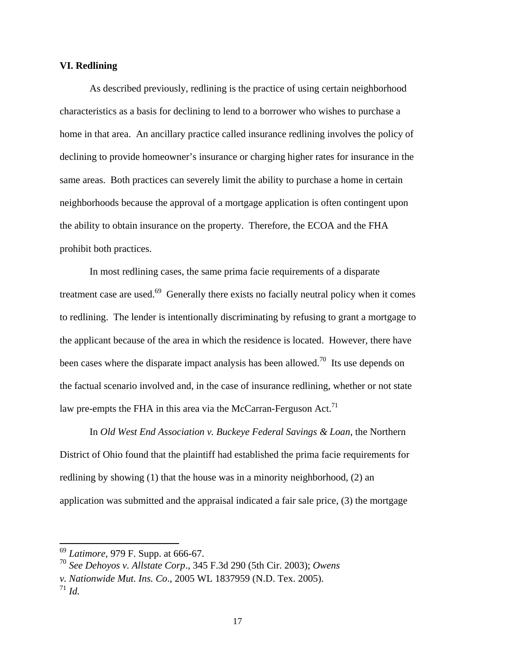## **VI. Redlining**

As described previously, redlining is the practice of using certain neighborhood characteristics as a basis for declining to lend to a borrower who wishes to purchase a home in that area. An ancillary practice called insurance redlining involves the policy of declining to provide homeowner's insurance or charging higher rates for insurance in the same areas. Both practices can severely limit the ability to purchase a home in certain neighborhoods because the approval of a mortgage application is often contingent upon the ability to obtain insurance on the property. Therefore, the ECOA and the FHA prohibit both practices.

In most redlining cases, the same prima facie requirements of a disparate treatment case are used.<sup>69</sup> Generally there exists no facially neutral policy when it comes to redlining. The lender is intentionally discriminating by refusing to grant a mortgage to the applicant because of the area in which the residence is located. However, there have been cases where the disparate impact analysis has been allowed.<sup>70</sup> Its use depends on the factual scenario involved and, in the case of insurance redlining, whether or not state law pre-empts the FHA in this area via the McCarran-Ferguson Act.<sup>71</sup>

In *Old West End Association v. Buckeye Federal Savings & Loan*, the Northern District of Ohio found that the plaintiff had established the prima facie requirements for redlining by showing (1) that the house was in a minority neighborhood, (2) an application was submitted and the appraisal indicated a fair sale price, (3) the mortgage

l

<sup>69</sup> *Latimore*, 979 F. Supp. at 666-67.

<sup>70</sup> *See Dehoyos v. Allstate Corp*., 345 F.3d 290 (5th Cir. 2003); *Owens* 

*v. Nationwide Mut. Ins. Co*., 2005 WL 1837959 (N.D. Tex. 2005).

 $^{71}$  *Id.*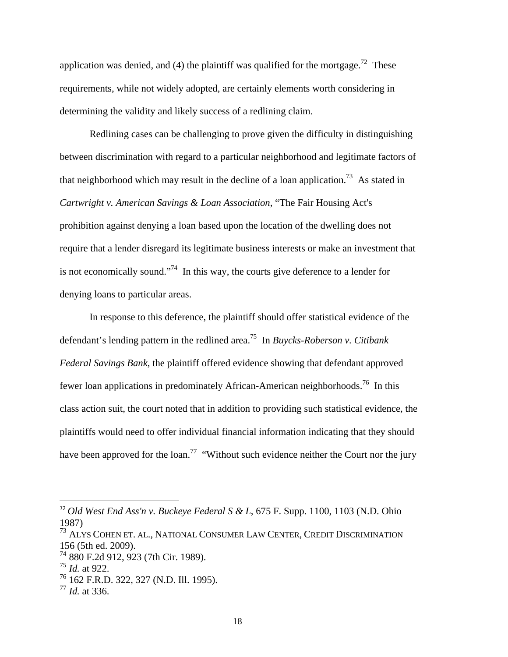application was denied, and (4) the plaintiff was qualified for the mortgage.<sup>72</sup> These requirements, while not widely adopted, are certainly elements worth considering in determining the validity and likely success of a redlining claim.

Redlining cases can be challenging to prove given the difficulty in distinguishing between discrimination with regard to a particular neighborhood and legitimate factors of that neighborhood which may result in the decline of a loan application.<sup>73</sup> As stated in *Cartwright v. American Savings & Loan Association*, "The Fair Housing Act's prohibition against denying a loan based upon the location of the dwelling does not require that a lender disregard its legitimate business interests or make an investment that is not economically sound."<sup>74</sup> In this way, the courts give deference to a lender for denying loans to particular areas.

In response to this deference, the plaintiff should offer statistical evidence of the defendant's lending pattern in the redlined area.75 In *Buycks-Roberson v. Citibank Federal Savings Bank*, the plaintiff offered evidence showing that defendant approved fewer loan applications in predominately African-American neighborhoods.76 In this class action suit, the court noted that in addition to providing such statistical evidence, the plaintiffs would need to offer individual financial information indicating that they should have been approved for the loan.<sup>77</sup> "Without such evidence neither the Court nor the jury

<sup>72</sup> *Old West End Ass'n v. Buckeye Federal S & L*, 675 F. Supp. 1100, 1103 (N.D. Ohio 1987)

<sup>&</sup>lt;sup>73</sup> ALYS COHEN ET. AL., NATIONAL CONSUMER LAW CENTER, CREDIT DISCRIMINATION 156 (5th ed. 2009).

<sup>74</sup> 880 F.2d 912, 923 (7th Cir. 1989).

<sup>75</sup> *Id.* at 922.

<sup>76</sup> 162 F.R.D. 322, 327 (N.D. Ill. 1995).

<sup>77</sup> *Id.* at 336.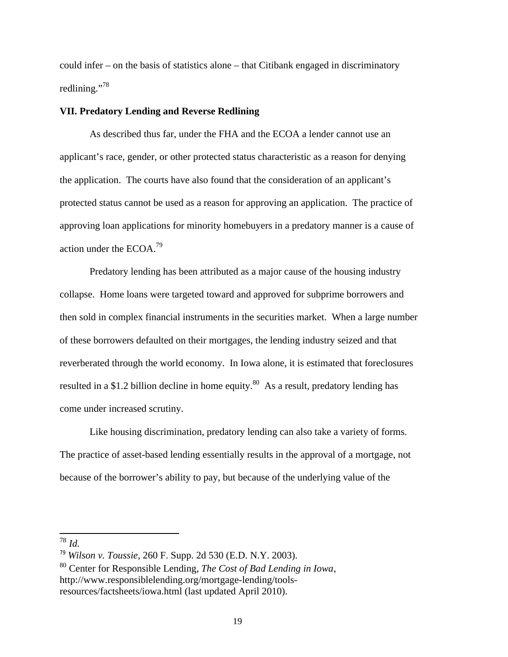could infer – on the basis of statistics alone – that Citibank engaged in discriminatory redlining."<sup>78</sup>

## **VII. Predatory Lending and Reverse Redlining**

As described thus far, under the FHA and the ECOA a lender cannot use an applicant's race, gender, or other protected status characteristic as a reason for denying the application. The courts have also found that the consideration of an applicant's protected status cannot be used as a reason for approving an application. The practice of approving loan applications for minority homebuyers in a predatory manner is a cause of action under the ECOA.79

Predatory lending has been attributed as a major cause of the housing industry collapse. Home loans were targeted toward and approved for subprime borrowers and then sold in complex financial instruments in the securities market. When a large number of these borrowers defaulted on their mortgages, the lending industry seized and that reverberated through the world economy. In Iowa alone, it is estimated that foreclosures resulted in a \$1.2 billion decline in home equity.<sup>80</sup> As a result, predatory lending has come under increased scrutiny.

Like housing discrimination, predatory lending can also take a variety of forms. The practice of asset-based lending essentially results in the approval of a mortgage, not because of the borrower's ability to pay, but because of the underlying value of the

<sup>78</sup> *Id.* 

<sup>79</sup> *Wilson v. Toussie*, 260 F. Supp. 2d 530 (E.D. N.Y. 2003).

<sup>80</sup> Center for Responsible Lending, *The Cost of Bad Lending in Iowa*, http://www.responsiblelending.org/mortgage-lending/toolsresources/factsheets/iowa.html (last updated April 2010).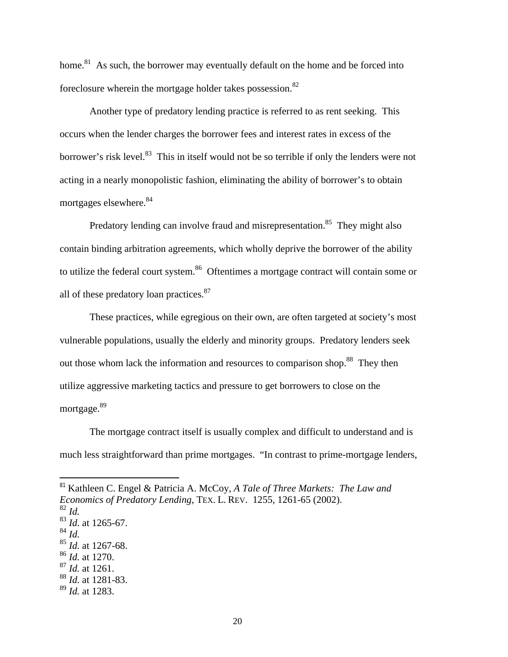home.<sup>81</sup> As such, the borrower may eventually default on the home and be forced into foreclosure wherein the mortgage holder takes possession.<sup>82</sup>

Another type of predatory lending practice is referred to as rent seeking. This occurs when the lender charges the borrower fees and interest rates in excess of the borrower's risk level.<sup>83</sup> This in itself would not be so terrible if only the lenders were not acting in a nearly monopolistic fashion, eliminating the ability of borrower's to obtain mortgages elsewhere.<sup>84</sup>

Predatory lending can involve fraud and misrepresentation.<sup>85</sup> They might also contain binding arbitration agreements, which wholly deprive the borrower of the ability to utilize the federal court system.<sup>86</sup> Oftentimes a mortgage contract will contain some or all of these predatory loan practices. $87$ 

These practices, while egregious on their own, are often targeted at society's most vulnerable populations, usually the elderly and minority groups. Predatory lenders seek out those whom lack the information and resources to comparison shop.<sup>88</sup> They then utilize aggressive marketing tactics and pressure to get borrowers to close on the mortgage.<sup>89</sup>

The mortgage contract itself is usually complex and difficult to understand and is much less straightforward than prime mortgages. "In contrast to prime-mortgage lenders,

<sup>82</sup> *Id.*

l

<sup>87</sup> *Id.* at 1261.

<sup>81</sup> Kathleen C. Engel & Patricia A. McCoy, *A Tale of Three Markets: The Law and* 

*Economics of Predatory Lending*, TEX. L. REV. 1255, 1261-65 (2002).

 $\frac{83}{84}$  *Id.* at 1265-67.<br> $\frac{84}{1}$  *Id.* 

<sup>&</sup>lt;sup>85</sup> *Id.* at 1267-68. <sup>86</sup> *Id.* at 1270.

<sup>88</sup> *Id.* at 1281-83.

<sup>89</sup> *Id.* at 1283.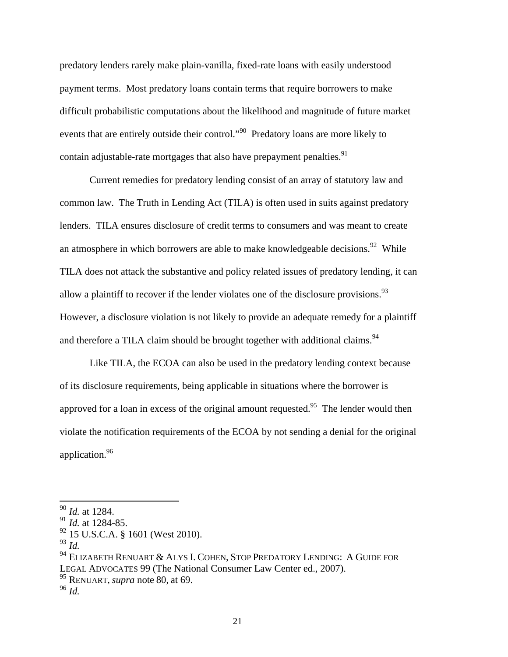predatory lenders rarely make plain-vanilla, fixed-rate loans with easily understood payment terms. Most predatory loans contain terms that require borrowers to make difficult probabilistic computations about the likelihood and magnitude of future market events that are entirely outside their control."<sup>90</sup> Predatory loans are more likely to contain adjustable-rate mortgages that also have prepayment penalties.<sup>91</sup>

Current remedies for predatory lending consist of an array of statutory law and common law. The Truth in Lending Act (TILA) is often used in suits against predatory lenders. TILA ensures disclosure of credit terms to consumers and was meant to create an atmosphere in which borrowers are able to make knowledgeable decisions.<sup>92</sup> While TILA does not attack the substantive and policy related issues of predatory lending, it can allow a plaintiff to recover if the lender violates one of the disclosure provisions.<sup>93</sup> However, a disclosure violation is not likely to provide an adequate remedy for a plaintiff and therefore a TILA claim should be brought together with additional claims.<sup>94</sup>

Like TILA, the ECOA can also be used in the predatory lending context because of its disclosure requirements, being applicable in situations where the borrower is approved for a loan in excess of the original amount requested.<sup>95</sup> The lender would then violate the notification requirements of the ECOA by not sending a denial for the original application.96

<sup>90</sup> *Id.* at 1284.

<sup>91</sup> *Id.* at 1284-85.

 $92$  15 U.S.C.A. § 1601 (West 2010).

<sup>93</sup> *Id.* 

<sup>94</sup> ELIZABETH RENUART & ALYS I. COHEN, STOP PREDATORY LENDING: A GUIDE FOR LEGAL ADVOCATES 99 (The National Consumer Law Center ed., 2007).

<sup>95</sup> RENUART, *supra* note 80, at 69. 96 *Id.*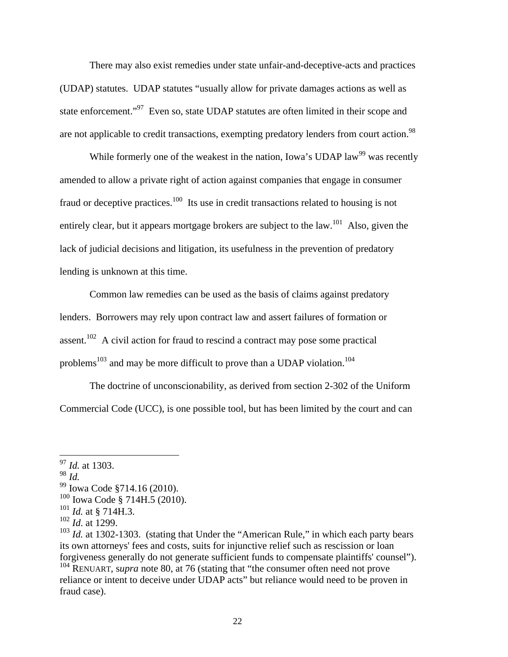There may also exist remedies under state unfair-and-deceptive-acts and practices (UDAP) statutes. UDAP statutes "usually allow for private damages actions as well as state enforcement."<sup>97</sup> Even so, state UDAP statutes are often limited in their scope and are not applicable to credit transactions, exempting predatory lenders from court action.<sup>98</sup>

While formerly one of the weakest in the nation, Iowa's UDAP law<sup>99</sup> was recently amended to allow a private right of action against companies that engage in consumer fraud or deceptive practices.<sup>100</sup> Its use in credit transactions related to housing is not entirely clear, but it appears mortgage brokers are subject to the law.<sup>101</sup> Also, given the lack of judicial decisions and litigation, its usefulness in the prevention of predatory lending is unknown at this time.

Common law remedies can be used as the basis of claims against predatory lenders. Borrowers may rely upon contract law and assert failures of formation or assent.<sup>102</sup> A civil action for fraud to rescind a contract may pose some practical problems<sup>103</sup> and may be more difficult to prove than a UDAP violation.<sup>104</sup>

The doctrine of unconscionability, as derived from section 2-302 of the Uniform Commercial Code (UCC), is one possible tool, but has been limited by the court and can

<sup>97</sup> *Id.* at 1303.

<sup>98</sup> *Id.*

<sup>99</sup> Iowa Code §714.16 (2010).

 $100$  Iowa Code § 714H.5 (2010).

<sup>101</sup> *Id.* at § 714H.3.

<sup>102</sup> *Id*. at 1299.

<sup>&</sup>lt;sup>103</sup> *Id.* at 1302-1303. (stating that Under the "American Rule," in which each party bears its own attorneys' fees and costs, suits for injunctive relief such as rescission or loan forgiveness generally do not generate sufficient funds to compensate plaintiffs' counsel"). <sup>104</sup> RENUART, s*upra* note 80, at 76 (stating that "the consumer often need not prove

reliance or intent to deceive under UDAP acts" but reliance would need to be proven in fraud case).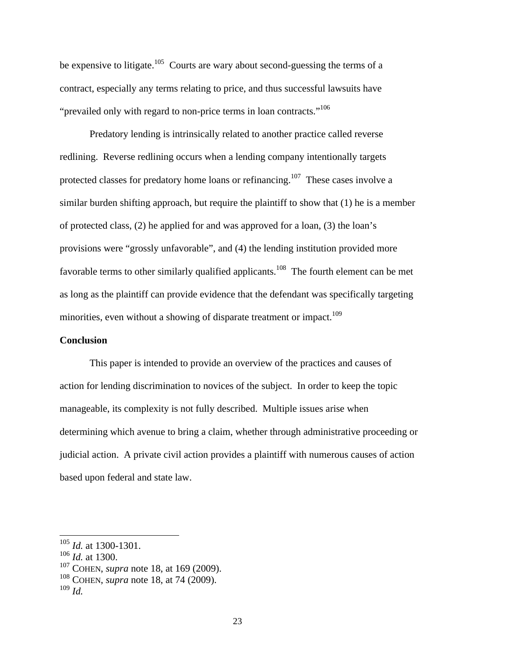be expensive to litigate.<sup>105</sup> Courts are wary about second-guessing the terms of a contract, especially any terms relating to price, and thus successful lawsuits have "prevailed only with regard to non-price terms in loan contracts."<sup>106</sup>

Predatory lending is intrinsically related to another practice called reverse redlining. Reverse redlining occurs when a lending company intentionally targets protected classes for predatory home loans or refinancing.107 These cases involve a similar burden shifting approach, but require the plaintiff to show that (1) he is a member of protected class, (2) he applied for and was approved for a loan, (3) the loan's provisions were "grossly unfavorable", and (4) the lending institution provided more favorable terms to other similarly qualified applicants.<sup>108</sup> The fourth element can be met as long as the plaintiff can provide evidence that the defendant was specifically targeting minorities, even without a showing of disparate treatment or impact.<sup>109</sup>

#### **Conclusion**

This paper is intended to provide an overview of the practices and causes of action for lending discrimination to novices of the subject. In order to keep the topic manageable, its complexity is not fully described. Multiple issues arise when determining which avenue to bring a claim, whether through administrative proceeding or judicial action. A private civil action provides a plaintiff with numerous causes of action based upon federal and state law.

l

<sup>105</sup> *Id.* at 1300-1301.

 $106$  *Id.* at 1300.

<sup>107</sup> COHEN, *supra* note 18, at 169 (2009).

<sup>108</sup> COHEN, *supra* note 18, at 74 (2009).

<sup>109</sup> *Id.*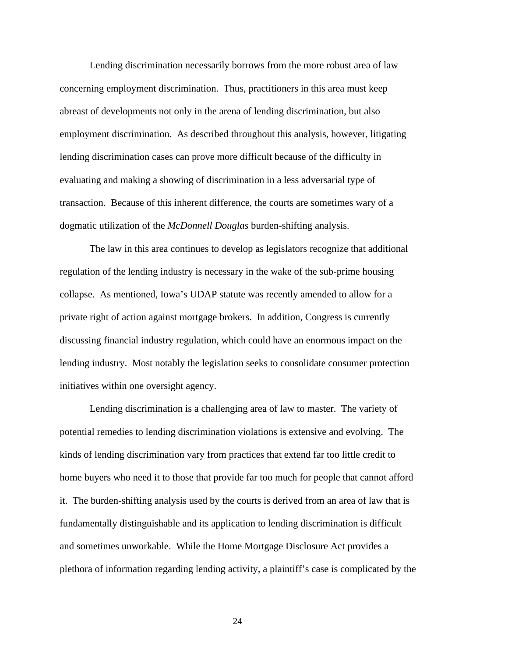Lending discrimination necessarily borrows from the more robust area of law concerning employment discrimination. Thus, practitioners in this area must keep abreast of developments not only in the arena of lending discrimination, but also employment discrimination. As described throughout this analysis, however, litigating lending discrimination cases can prove more difficult because of the difficulty in evaluating and making a showing of discrimination in a less adversarial type of transaction. Because of this inherent difference, the courts are sometimes wary of a dogmatic utilization of the *McDonnell Douglas* burden-shifting analysis.

The law in this area continues to develop as legislators recognize that additional regulation of the lending industry is necessary in the wake of the sub-prime housing collapse. As mentioned, Iowa's UDAP statute was recently amended to allow for a private right of action against mortgage brokers. In addition, Congress is currently discussing financial industry regulation, which could have an enormous impact on the lending industry. Most notably the legislation seeks to consolidate consumer protection initiatives within one oversight agency.

Lending discrimination is a challenging area of law to master. The variety of potential remedies to lending discrimination violations is extensive and evolving. The kinds of lending discrimination vary from practices that extend far too little credit to home buyers who need it to those that provide far too much for people that cannot afford it. The burden-shifting analysis used by the courts is derived from an area of law that is fundamentally distinguishable and its application to lending discrimination is difficult and sometimes unworkable. While the Home Mortgage Disclosure Act provides a plethora of information regarding lending activity, a plaintiff's case is complicated by the

24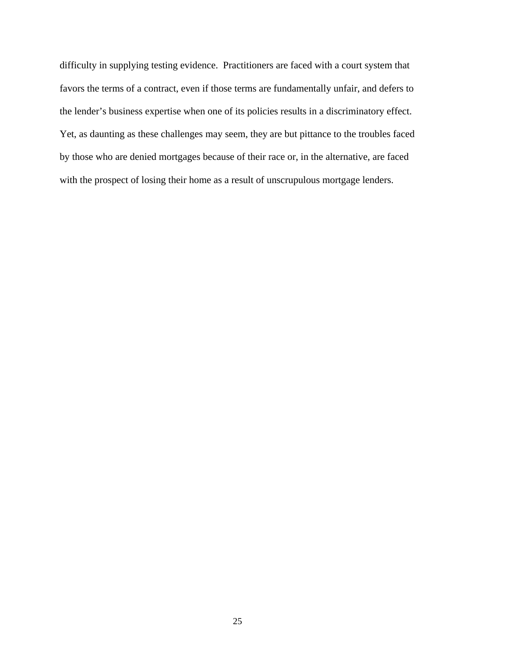difficulty in supplying testing evidence. Practitioners are faced with a court system that favors the terms of a contract, even if those terms are fundamentally unfair, and defers to the lender's business expertise when one of its policies results in a discriminatory effect. Yet, as daunting as these challenges may seem, they are but pittance to the troubles faced by those who are denied mortgages because of their race or, in the alternative, are faced with the prospect of losing their home as a result of unscrupulous mortgage lenders.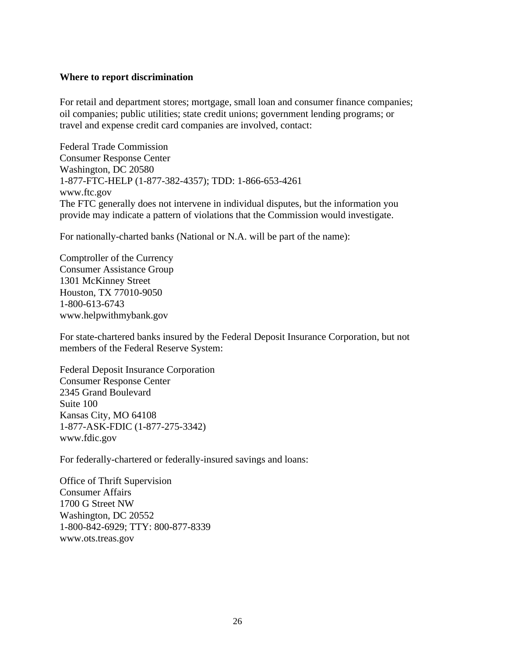## **Where to report discrimination**

For retail and department stores; mortgage, small loan and consumer finance companies; oil companies; public utilities; state credit unions; government lending programs; or travel and expense credit card companies are involved, contact:

Federal Trade Commission Consumer Response Center Washington, DC 20580 1-877-FTC-HELP (1-877-382-4357); TDD: 1-866-653-4261 www.ftc.gov The FTC generally does not intervene in individual disputes, but the information you provide may indicate a pattern of violations that the Commission would investigate.

For nationally-charted banks (National or N.A. will be part of the name):

Comptroller of the Currency Consumer Assistance Group 1301 McKinney Street Houston, TX 77010-9050 1-800-613-6743 www.helpwithmybank.gov

For state-chartered banks insured by the Federal Deposit Insurance Corporation, but not members of the Federal Reserve System:

Federal Deposit Insurance Corporation Consumer Response Center 2345 Grand Boulevard Suite 100 Kansas City, MO 64108 1-877-ASK-FDIC (1-877-275-3342) www.fdic.gov

For federally-chartered or federally-insured savings and loans:

Office of Thrift Supervision Consumer Affairs 1700 G Street NW Washington, DC 20552 1-800-842-6929; TTY: 800-877-8339 www.ots.treas.gov